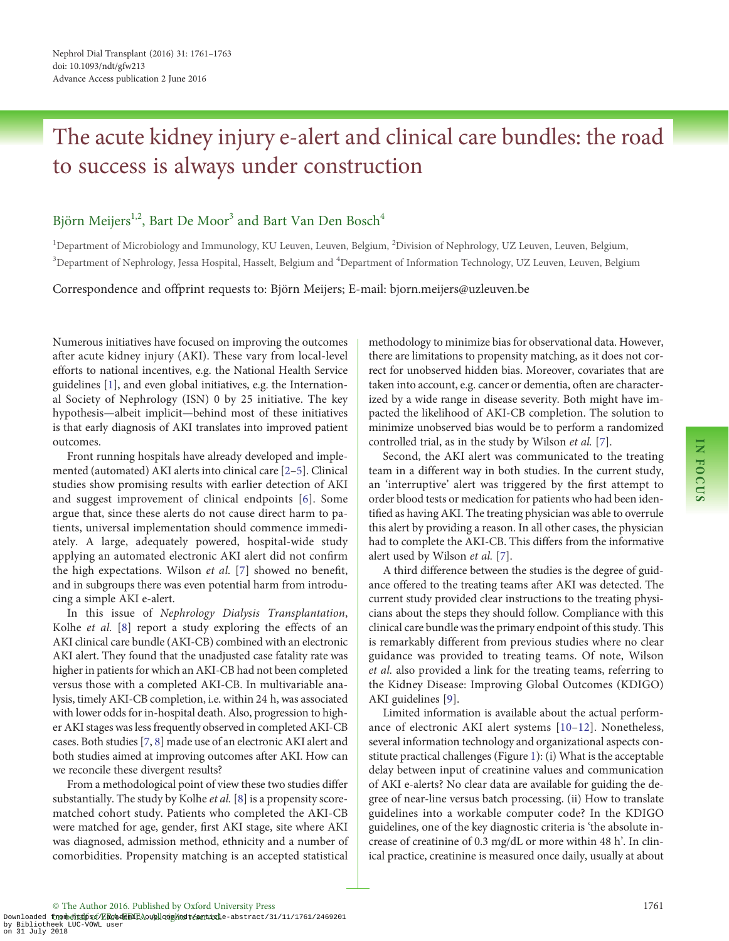## The acute kidney injury e-alert and clinical care bundles: the road to success is always under construction

### Björn Meijers<sup>1,2</sup>, Bart De Moor<sup>3</sup> and Bart Van Den Bosch<sup>4</sup>

<sup>1</sup>Department of Microbiology and Immunology, KU Leuven, Leuven, Belgium, <sup>2</sup>Division of Nephrology, UZ Leuven, Leuven, Belgium, <sup>3</sup>Department of Nephrology, Jessa Hospital, Hasselt, Belgium and <sup>4</sup>Department of Information Technology, UZ Leuven, Leuven, Belgium

Correspondence and offprint requests to: Björn Meijers; E-mail: bjorn.meijers@uzleuven.be

Numerous initiatives have focused on improving the outcomes after acute kidney injury (AKI). These vary from local-level efforts to national incentives, e.g. the National Health Service guidelines [[1](#page-2-0)], and even global initiatives, e.g. the International Society of Nephrology (ISN) 0 by 25 initiative. The key hypothesis—albeit implicit—behind most of these initiatives is that early diagnosis of AKI translates into improved patient outcomes.

Front running hospitals have already developed and implemented (automated) AKI alerts into clinical care [\[2](#page-2-0)–[5\]](#page-2-0). Clinical studies show promising results with earlier detection of AKI and suggest improvement of clinical endpoints [\[6](#page-2-0)]. Some argue that, since these alerts do not cause direct harm to patients, universal implementation should commence immediately. A large, adequately powered, hospital-wide study applying an automated electronic AKI alert did not confirm the high expectations. Wilson et al. [\[7](#page-2-0)] showed no benefit, and in subgroups there was even potential harm from introducing a simple AKI e-alert.

In this issue of Nephrology Dialysis Transplantation, Kolhe et al. [\[8](#page-2-0)] report a study exploring the effects of an AKI clinical care bundle (AKI-CB) combined with an electronic AKI alert. They found that the unadjusted case fatality rate was higher in patients for which an AKI-CB had not been completed versus those with a completed AKI-CB. In multivariable analysis, timely AKI-CB completion, i.e. within 24 h, was associated with lower odds for in-hospital death. Also, progression to higher AKI stages was less frequently observed in completed AKI-CB cases. Both studies [\[7,](#page-2-0) [8\]](#page-2-0) made use of an electronic AKI alert and both studies aimed at improving outcomes after AKI. How can we reconcile these divergent results?

From a methodological point of view these two studies differ substantially. The study by Kolhe et al. [[8](#page-2-0)] is a propensity scorematched cohort study. Patients who completed the AKI-CB were matched for age, gender, first AKI stage, site where AKI was diagnosed, admission method, ethnicity and a number of comorbidities. Propensity matching is an accepted statistical methodology to minimize bias for observational data. However, there are limitations to propensity matching, as it does not correct for unobserved hidden bias. Moreover, covariates that are taken into account, e.g. cancer or dementia, often are characterized by a wide range in disease severity. Both might have impacted the likelihood of AKI-CB completion. The solution to minimize unobserved bias would be to perform a randomized controlled trial, as in the study by Wilson et al. [[7\]](#page-2-0).

Second, the AKI alert was communicated to the treating team in a different way in both studies. In the current study, an 'interruptive' alert was triggered by the first attempt to order blood tests or medication for patients who had been identified as having AKI. The treating physician was able to overrule this alert by providing a reason. In all other cases, the physician had to complete the AKI-CB. This differs from the informative alert used by Wilson et al. [\[7](#page-2-0)].

A third difference between the studies is the degree of guidance offered to the treating teams after AKI was detected. The current study provided clear instructions to the treating physicians about the steps they should follow. Compliance with this clinical care bundle was the primary endpoint of this study. This is remarkably different from previous studies where no clear guidance was provided to treating teams. Of note, Wilson et al. also provided a link for the treating teams, referring to the Kidney Disease: Improving Global Outcomes (KDIGO) AKI guidelines [[9](#page-2-0)].

Limited information is available about the actual performance of electronic AKI alert systems [[10](#page-2-0)–[12\]](#page-2-0). Nonetheless, several information technology and organizational aspects constitute practical challenges (Figure [1\)](#page-1-0): (i) What is the acceptable delay between input of creatinine values and communication of AKI e-alerts? No clear data are available for guiding the degree of near-line versus batch processing. (ii) How to translate guidelines into a workable computer code? In the KDIGO guidelines, one of the key diagnostic criteria is 'the absolute increase of creatinine of 0.3 mg/dL or more within 48 h'. In clinical practice, creatinine is measured once daily, usually at about

Downloaded firmohdhrdpfs://kRaademicAouplladgihtsit/seatticle-abstract/31/11/1761/2469201 by Bibliotheek LUC-VOWL user on 31 July 2018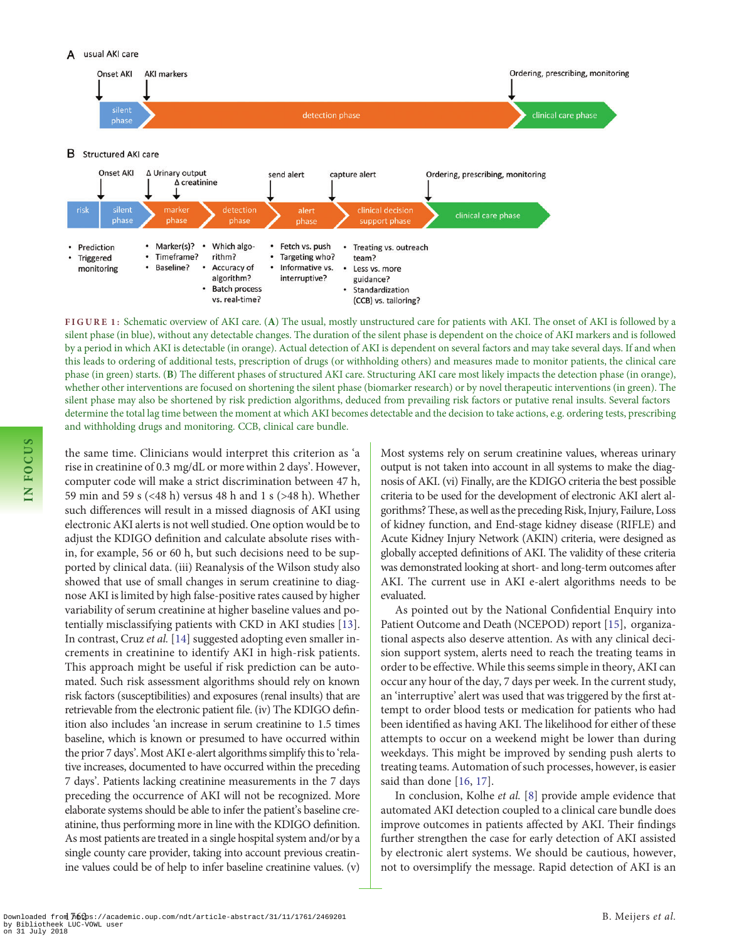<span id="page-1-0"></span>

FIGURE 1: Schematic overview of AKI care. (A) The usual, mostly unstructured care for patients with AKI. The onset of AKI is followed by a silent phase (in blue), without any detectable changes. The duration of the silent phase is dependent on the choice of AKI markers and is followed by a period in which AKI is detectable (in orange). Actual detection of AKI is dependent on several factors and may take several days. If and when this leads to ordering of additional tests, prescription of drugs (or withholding others) and measures made to monitor patients, the clinical care phase (in green) starts. (B) The different phases of structured AKI care. Structuring AKI care most likely impacts the detection phase (in orange), whether other interventions are focused on shortening the silent phase (biomarker research) or by novel therapeutic interventions (in green). The silent phase may also be shortened by risk prediction algorithms, deduced from prevailing risk factors or putative renal insults. Several factors determine the total lag time between the moment at which AKI becomes detectable and the decision to take actions, e.g. ordering tests, prescribing and withholding drugs and monitoring. CCB, clinical care bundle.

the same time. Clinicians would interpret this criterion as 'a rise in creatinine of 0.3 mg/dL or more within 2 days'. However, computer code will make a strict discrimination between 47 h, 59 min and 59 s (<48 h) versus 48 h and 1 s (>48 h). Whether such differences will result in a missed diagnosis of AKI using electronic AKI alerts is not well studied. One option would be to adjust the KDIGO definition and calculate absolute rises within, for example, 56 or 60 h, but such decisions need to be supported by clinical data. (iii) Reanalysis of the Wilson study also showed that use of small changes in serum creatinine to diagnose AKI is limited by high false-positive rates caused by higher variability of serum creatinine at higher baseline values and potentially misclassifying patients with CKD in AKI studies [\[13\]](#page-2-0). In contrast, Cruz et al. [\[14\]](#page-2-0) suggested adopting even smaller increments in creatinine to identify AKI in high-risk patients. This approach might be useful if risk prediction can be automated. Such risk assessment algorithms should rely on known risk factors (susceptibilities) and exposures (renal insults) that are retrievable from the electronic patient file. (iv) The KDIGO definition also includes 'an increase in serum creatinine to 1.5 times baseline, which is known or presumed to have occurred within the prior 7 days'. Most AKI e-alert algorithms simplify this to 'relative increases, documented to have occurred within the preceding 7 days'. Patients lacking creatinine measurements in the 7 days preceding the occurrence of AKI will not be recognized. More elaborate systems should be able to infer the patient's baseline creatinine, thus performing more in line with the KDIGO definition. As most patients are treated in a single hospital system and/or by a single county care provider, taking into account previous creatinine values could be of help to infer baseline creatinine values. (v) Most systems rely on serum creatinine values, whereas urinary output is not taken into account in all systems to make the diagnosis of AKI. (vi) Finally, are the KDIGO criteria the best possible criteria to be used for the development of electronic AKI alert algorithms? These, as well as the preceding Risk, Injury, Failure, Loss of kidney function, and End-stage kidney disease (RIFLE) and Acute Kidney Injury Network (AKIN) criteria, were designed as globally accepted definitions of AKI. The validity of these criteria was demonstrated looking at short- and long-term outcomes after AKI. The current use in AKI e-alert algorithms needs to be evaluated.

As pointed out by the National Confidential Enquiry into Patient Outcome and Death (NCEPOD) report [\[15\]](#page-2-0), organizational aspects also deserve attention. As with any clinical decision support system, alerts need to reach the treating teams in order to be effective. While this seems simple in theory, AKI can occur any hour of the day, 7 days per week. In the current study, an 'interruptive' alert was used that was triggered by the first attempt to order blood tests or medication for patients who had been identified as having AKI. The likelihood for either of these attempts to occur on a weekend might be lower than during weekdays. This might be improved by sending push alerts to treating teams. Automation of such processes, however, is easier said than done [\[16,](#page-2-0) [17](#page-2-0)].

In conclusion, Kolhe et al. [[8\]](#page-2-0) provide ample evidence that automated AKI detection coupled to a clinical care bundle does improve outcomes in patients affected by AKI. Their findings further strengthen the case for early detection of AKI assisted by electronic alert systems. We should be cautious, however, not to oversimplify the message. Rapid detection of AKI is an